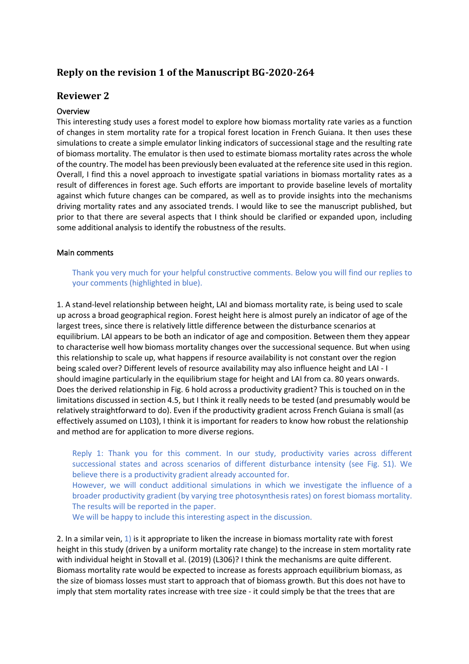# **Reply on the revision 1 of the Manuscript BG-2020-264**

# **Reviewer 2**

## Overview

This interesting study uses a forest model to explore how biomass mortality rate varies as a function of changes in stem mortality rate for a tropical forest location in French Guiana. It then uses these simulations to create a simple emulator linking indicators of successional stage and the resulting rate of biomass mortality. The emulator is then used to estimate biomass mortality rates across the whole of the country. The model has been previously been evaluated at the reference site used in this region. Overall, I find this a novel approach to investigate spatial variations in biomass mortality rates as a result of differences in forest age. Such efforts are important to provide baseline levels of mortality against which future changes can be compared, as well as to provide insights into the mechanisms driving mortality rates and any associated trends. I would like to see the manuscript published, but prior to that there are several aspects that I think should be clarified or expanded upon, including some additional analysis to identify the robustness of the results.

## Main comments

Thank you very much for your helpful constructive comments. Below you will find our replies to your comments (highlighted in blue).

1. A stand-level relationship between height, LAI and biomass mortality rate, is being used to scale up across a broad geographical region. Forest height here is almost purely an indicator of age of the largest trees, since there is relatively little difference between the disturbance scenarios at equilibrium. LAI appears to be both an indicator of age and composition. Between them they appear to characterise well how biomass mortality changes over the successional sequence. But when using this relationship to scale up, what happens if resource availability is not constant over the region being scaled over? Different levels of resource availability may also influence height and LAI - I should imagine particularly in the equilibrium stage for height and LAI from ca. 80 years onwards. Does the derived relationship in Fig. 6 hold across a productivity gradient? This is touched on in the limitations discussed in section 4.5, but I think it really needs to be tested (and presumably would be relatively straightforward to do). Even if the productivity gradient across French Guiana is small (as effectively assumed on L103), I think it is important for readers to know how robust the relationship and method are for application to more diverse regions.

Reply 1: Thank you for this comment. In our study, productivity varies across different successional states and across scenarios of different disturbance intensity (see Fig. S1). We believe there is a productivity gradient already accounted for. However, we will conduct additional simulations in which we investigate the influence of a broader productivity gradient (by varying tree photosynthesis rates) on forest biomass mortality. The results will be reported in the paper.

We will be happy to include this interesting aspect in the discussion.

2. In a similar vein,  $1$ ) is it appropriate to liken the increase in biomass mortality rate with forest height in this study (driven by a uniform mortality rate change) to the increase in stem mortality rate with individual height in Stovall et al. (2019) (L306)? I think the mechanisms are quite different. Biomass mortality rate would be expected to increase as forests approach equilibrium biomass, as the size of biomass losses must start to approach that of biomass growth. But this does not have to imply that stem mortality rates increase with tree size - it could simply be that the trees that are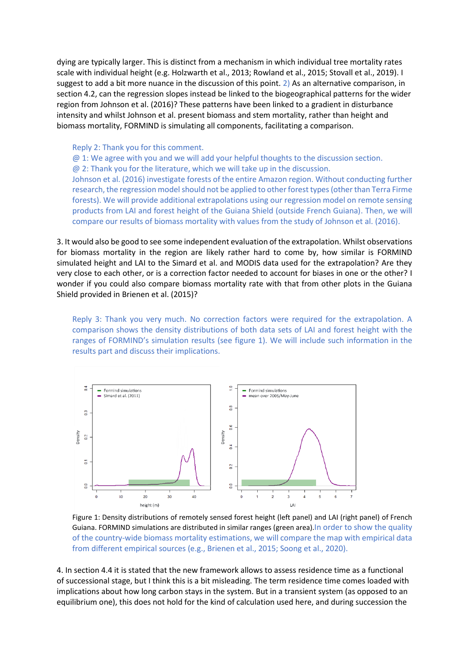dying are typically larger. This is distinct from a mechanism in which individual tree mortality rates scale with individual height (e.g. Holzwarth et al., 2013; Rowland et al., 2015; Stovall et al., 2019). I suggest to add a bit more nuance in the discussion of this point. 2) As an alternative comparison, in section 4.2, can the regression slopes instead be linked to the biogeographical patterns for the wider region from Johnson et al. (2016)? These patterns have been linked to a gradient in disturbance intensity and whilst Johnson et al. present biomass and stem mortality, rather than height and biomass mortality, FORMIND is simulating all components, facilitating a comparison.

Reply 2: Thank you for this comment.

@ 1: We agree with you and we will add your helpful thoughts to the discussion section.  $\omega$  2: Thank you for the literature, which we will take up in the discussion. Johnson et al. (2016) investigate forests of the entire Amazon region. Without conducting further research, the regression model should not be applied to other forest types (other than Terra Firme forests). We will provide additional extrapolations using our regression model on remote sensing products from LAI and forest height of the Guiana Shield (outside French Guiana). Then, we will compare our results of biomass mortality with values from the study of Johnson et al. (2016).

3. It would also be good to see some independent evaluation of the extrapolation. Whilst observations for biomass mortality in the region are likely rather hard to come by, how similar is FORMIND simulated height and LAI to the Simard et al. and MODIS data used for the extrapolation? Are they very close to each other, or is a correction factor needed to account for biases in one or the other? I wonder if you could also compare biomass mortality rate with that from other plots in the Guiana Shield provided in Brienen et al. (2015)?

Reply 3: Thank you very much. No correction factors were required for the extrapolation. A comparison shows the density distributions of both data sets of LAI and forest height with the ranges of FORMIND's simulation results (see figure 1). We will include such information in the results part and discuss their implications.



Figure 1: Density distributions of remotely sensed forest height (left panel) and LAI (right panel) of French Guiana. FORMIND simulations are distributed in similar ranges (green area).In order to show the quality of the country-wide biomass mortality estimations, we will compare the map with empirical data from different empirical sources (e.g., Brienen et al., 2015; Soong et al., 2020).

4. In section 4.4 it is stated that the new framework allows to assess residence time as a functional of successional stage, but I think this is a bit misleading. The term residence time comes loaded with implications about how long carbon stays in the system. But in a transient system (as opposed to an equilibrium one), this does not hold for the kind of calculation used here, and during succession the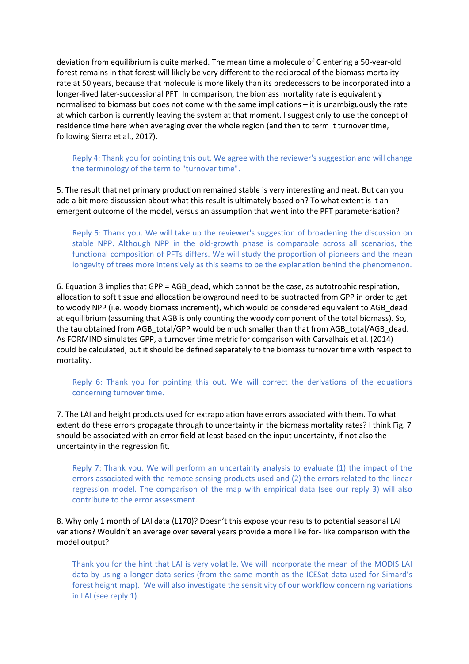deviation from equilibrium is quite marked. The mean time a molecule of C entering a 50-year-old forest remains in that forest will likely be very different to the reciprocal of the biomass mortality rate at 50 years, because that molecule is more likely than its predecessors to be incorporated into a longer-lived later-successional PFT. In comparison, the biomass mortality rate is equivalently normalised to biomass but does not come with the same implications – it is unambiguously the rate at which carbon is currently leaving the system at that moment. I suggest only to use the concept of residence time here when averaging over the whole region (and then to term it turnover time, following Sierra et al., 2017).

Reply 4: Thank you for pointing this out. We agree with the reviewer's suggestion and will change the terminology of the term to "turnover time".

5. The result that net primary production remained stable is very interesting and neat. But can you add a bit more discussion about what this result is ultimately based on? To what extent is it an emergent outcome of the model, versus an assumption that went into the PFT parameterisation?

Reply 5: Thank you. We will take up the reviewer's suggestion of broadening the discussion on stable NPP. Although NPP in the old-growth phase is comparable across all scenarios, the functional composition of PFTs differs. We will study the proportion of pioneers and the mean longevity of trees more intensively as this seems to be the explanation behind the phenomenon.

6. Equation 3 implies that GPP = AGB\_dead, which cannot be the case, as autotrophic respiration, allocation to soft tissue and allocation belowground need to be subtracted from GPP in order to get to woody NPP (i.e. woody biomass increment), which would be considered equivalent to AGB\_dead at equilibrium (assuming that AGB is only counting the woody component of the total biomass). So, the tau obtained from AGB\_total/GPP would be much smaller than that from AGB\_total/AGB\_dead. As FORMIND simulates GPP, a turnover time metric for comparison with Carvalhais et al. (2014) could be calculated, but it should be defined separately to the biomass turnover time with respect to mortality.

Reply 6: Thank you for pointing this out. We will correct the derivations of the equations concerning turnover time.

7. The LAI and height products used for extrapolation have errors associated with them. To what extent do these errors propagate through to uncertainty in the biomass mortality rates? I think Fig. 7 should be associated with an error field at least based on the input uncertainty, if not also the uncertainty in the regression fit.

Reply 7: Thank you. We will perform an uncertainty analysis to evaluate (1) the impact of the errors associated with the remote sensing products used and (2) the errors related to the linear regression model. The comparison of the map with empirical data (see our reply 3) will also contribute to the error assessment.

8. Why only 1 month of LAI data (L170)? Doesn't this expose your results to potential seasonal LAI variations? Wouldn't an average over several years provide a more like for- like comparison with the model output?

Thank you for the hint that LAI is very volatile. We will incorporate the mean of the MODIS LAI data by using a longer data series (from the same month as the ICESat data used for Simard's forest height map). We will also investigate the sensitivity of our workflow concerning variations in LAI (see reply 1).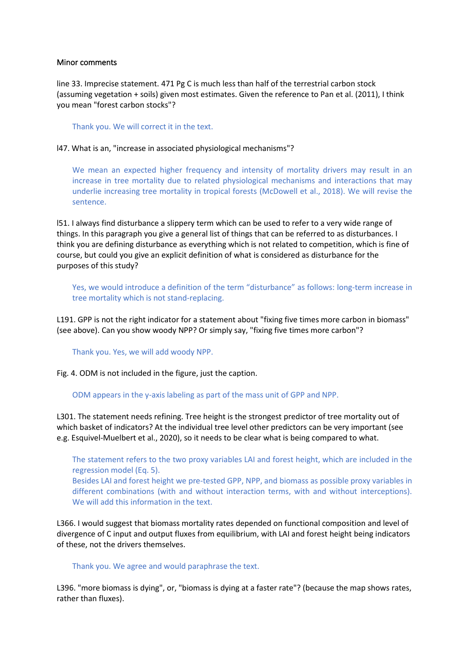### Minor comments

line 33. Imprecise statement. 471 Pg C is much less than half of the terrestrial carbon stock (assuming vegetation + soils) given most estimates. Given the reference to Pan et al. (2011), I think you mean "forest carbon stocks"?

Thank you. We will correct it in the text.

### l47. What is an, "increase in associated physiological mechanisms"?

We mean an expected higher frequency and intensity of mortality drivers may result in an increase in tree mortality due to related physiological mechanisms and interactions that may underlie increasing tree mortality in tropical forests (McDowell et al., 2018). We will revise the sentence.

l51. I always find disturbance a slippery term which can be used to refer to a very wide range of things. In this paragraph you give a general list of things that can be referred to as disturbances. I think you are defining disturbance as everything which is not related to competition, which is fine of course, but could you give an explicit definition of what is considered as disturbance for the purposes of this study?

Yes, we would introduce a definition of the term "disturbance" as follows: long-term increase in tree mortality which is not stand-replacing.

L191. GPP is not the right indicator for a statement about "fixing five times more carbon in biomass" (see above). Can you show woody NPP? Or simply say, "fixing five times more carbon"?

#### Thank you. Yes, we will add woody NPP.

Fig. 4. ODM is not included in the figure, just the caption.

#### ODM appears in the y-axis labeling as part of the mass unit of GPP and NPP.

L301. The statement needs refining. Tree height is the strongest predictor of tree mortality out of which basket of indicators? At the individual tree level other predictors can be very important (see e.g. Esquivel-Muelbert et al., 2020), so it needs to be clear what is being compared to what.

The statement refers to the two proxy variables LAI and forest height, which are included in the regression model (Eq. 5).

Besides LAI and forest height we pre-tested GPP, NPP, and biomass as possible proxy variables in different combinations (with and without interaction terms, with and without interceptions). We will add this information in the text.

L366. I would suggest that biomass mortality rates depended on functional composition and level of divergence of C input and output fluxes from equilibrium, with LAI and forest height being indicators of these, not the drivers themselves.

### Thank you. We agree and would paraphrase the text.

L396. "more biomass is dying", or, "biomass is dying at a faster rate"? (because the map shows rates, rather than fluxes).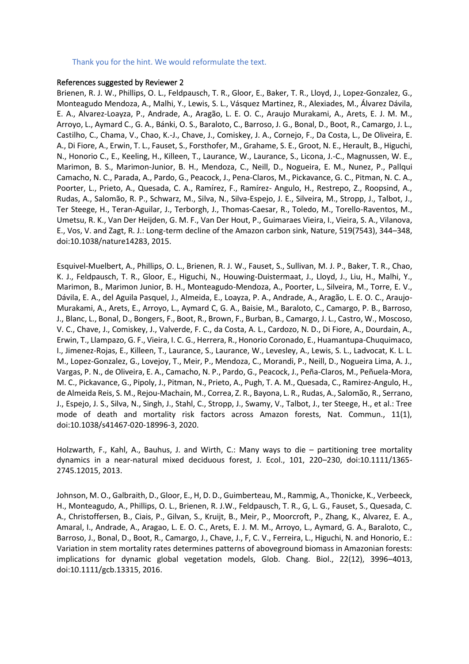#### Thank you for the hint. We would reformulate the text.

#### References suggested by Reviewer 2

Brienen, R. J. W., Phillips, O. L., Feldpausch, T. R., Gloor, E., Baker, T. R., Lloyd, J., Lopez-Gonzalez, G., Monteagudo Mendoza, A., Malhi, Y., Lewis, S. L., Vásquez Martinez, R., Alexiades, M., Álvarez Dávila, E. A., Alvarez-Loayza, P., Andrade, A., Aragão, L. E. O. C., Araujo Murakami, A., Arets, E. J. M. M., Arroyo, L., Aymard C., G. A., Bánki, O. S., Baraloto, C., Barroso, J. G., Bonal, D., Boot, R., Camargo, J. L., Castilho, C., Chama, V., Chao, K.-J., Chave, J., Comiskey, J. A., Cornejo, F., Da Costa, L., De Oliveira, E. A., Di Fiore, A., Erwin, T. L., Fauset, S., Forsthofer, M., Grahame, S. E., Groot, N. E., Herault, B., Higuchi, N., Honorio C., E., Keeling, H., Killeen, T., Laurance, W., Laurance, S., Licona, J.-C., Magnussen, W. E., Marimon, B. S., Marimon-Junior, B. H., Mendoza, C., Neill, D., Nogueira, E. M., Nunez, P., Pallqui Camacho, N. C., Parada, A., Pardo, G., Peacock, J., Pena-Claros, M., Pickavance, G. C., Pitman, N. C. A., Poorter, L., Prieto, A., Quesada, C. A., Ramírez, F., Ramírez- Angulo, H., Restrepo, Z., Roopsind, A., Rudas, A., Salomão, R. P., Schwarz, M., Silva, N., Silva-Espejo, J. E., Silveira, M., Stropp, J., Talbot, J., Ter Steege, H., Teran-Aguilar, J., Terborgh, J., Thomas-Caesar, R., Toledo, M., Torello-Raventos, M., Umetsu, R. K., Van Der Heijden, G. M. F., Van Der Hout, P., Guimaraes Vieira, I., Vieira, S. A., Vilanova, E., Vos, V. and Zagt, R. J.: Long-term decline of the Amazon carbon sink, Nature, 519(7543), 344–348, doi:10.1038/nature14283, 2015.

Esquivel-Muelbert, A., Phillips, O. L., Brienen, R. J. W., Fauset, S., Sullivan, M. J. P., Baker, T. R., Chao, K. J., Feldpausch, T. R., Gloor, E., Higuchi, N., Houwing-Duistermaat, J., Lloyd, J., Liu, H., Malhi, Y., Marimon, B., Marimon Junior, B. H., Monteagudo-Mendoza, A., Poorter, L., Silveira, M., Torre, E. V., Dávila, E. A., del Aguila Pasquel, J., Almeida, E., Loayza, P. A., Andrade, A., Aragão, L. E. O. C., Araujo-Murakami, A., Arets, E., Arroyo, L., Aymard C, G. A., Baisie, M., Baraloto, C., Camargo, P. B., Barroso, J., Blanc, L., Bonal, D., Bongers, F., Boot, R., Brown, F., Burban, B., Camargo, J. L., Castro, W., Moscoso, V. C., Chave, J., Comiskey, J., Valverde, F. C., da Costa, A. L., Cardozo, N. D., Di Fiore, A., Dourdain, A., Erwin, T., Llampazo, G. F., Vieira, I. C. G., Herrera, R., Honorio Coronado, E., Huamantupa-Chuquimaco, I., Jimenez-Rojas, E., Killeen, T., Laurance, S., Laurance, W., Levesley, A., Lewis, S. L., Ladvocat, K. L. L. M., Lopez-Gonzalez, G., Lovejoy, T., Meir, P., Mendoza, C., Morandi, P., Neill, D., Nogueira Lima, A. J., Vargas, P. N., de Oliveira, E. A., Camacho, N. P., Pardo, G., Peacock, J., Peña-Claros, M., Peñuela-Mora, M. C., Pickavance, G., Pipoly, J., Pitman, N., Prieto, A., Pugh, T. A. M., Quesada, C., Ramirez-Angulo, H., de Almeida Reis, S. M., Rejou-Machain, M., Correa, Z. R., Bayona, L. R., Rudas, A., Salomão, R., Serrano, J., Espejo, J. S., Silva, N., Singh, J., Stahl, C., Stropp, J., Swamy, V., Talbot, J., ter Steege, H., et al.: Tree mode of death and mortality risk factors across Amazon forests, Nat. Commun., 11(1), doi:10.1038/s41467-020-18996-3, 2020.

Holzwarth, F., Kahl, A., Bauhus, J. and Wirth, C.: Many ways to die – partitioning tree mortality dynamics in a near-natural mixed deciduous forest, J. Ecol., 101, 220–230, doi:10.1111/1365- 2745.12015, 2013.

Johnson, M. O., Galbraith, D., Gloor, E., H, D. D., Guimberteau, M., Rammig, A., Thonicke, K., Verbeeck, H., Monteagudo, A., Phillips, O. L., Brienen, R. J.W., Feldpausch, T. R., G, L. G., Fauset, S., Quesada, C. A., Christoffersen, B., Ciais, P., Gilvan, S., Kruijt, B., Meir, P., Moorcroft, P., Zhang, K., Alvarez, E. A., Amaral, I., Andrade, A., Aragao, L. E. O. C., Arets, E. J. M. M., Arroyo, L., Aymard, G. A., Baraloto, C., Barroso, J., Bonal, D., Boot, R., Camargo, J., Chave, J., F, C. V., Ferreira, L., Higuchi, N. and Honorio, E.: Variation in stem mortality rates determines patterns of aboveground biomass in Amazonian forests: implications for dynamic global vegetation models, Glob. Chang. Biol., 22(12), 3996–4013, doi:10.1111/gcb.13315, 2016.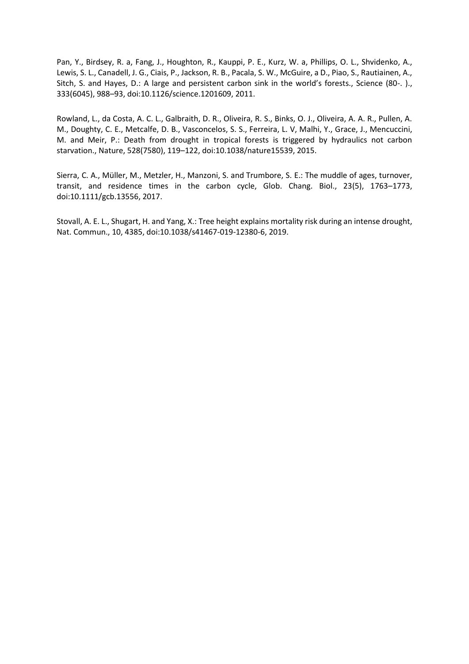Pan, Y., Birdsey, R. a, Fang, J., Houghton, R., Kauppi, P. E., Kurz, W. a, Phillips, O. L., Shvidenko, A., Lewis, S. L., Canadell, J. G., Ciais, P., Jackson, R. B., Pacala, S. W., McGuire, a D., Piao, S., Rautiainen, A., Sitch, S. and Hayes, D.: A large and persistent carbon sink in the world's forests., Science (80-. )., 333(6045), 988–93, doi:10.1126/science.1201609, 2011.

Rowland, L., da Costa, A. C. L., Galbraith, D. R., Oliveira, R. S., Binks, O. J., Oliveira, A. A. R., Pullen, A. M., Doughty, C. E., Metcalfe, D. B., Vasconcelos, S. S., Ferreira, L. V, Malhi, Y., Grace, J., Mencuccini, M. and Meir, P.: Death from drought in tropical forests is triggered by hydraulics not carbon starvation., Nature, 528(7580), 119–122, doi:10.1038/nature15539, 2015.

Sierra, C. A., Müller, M., Metzler, H., Manzoni, S. and Trumbore, S. E.: The muddle of ages, turnover, transit, and residence times in the carbon cycle, Glob. Chang. Biol., 23(5), 1763–1773, doi:10.1111/gcb.13556, 2017.

Stovall, A. E. L., Shugart, H. and Yang, X.: Tree height explains mortality risk during an intense drought, Nat. Commun., 10, 4385, doi:10.1038/s41467-019-12380-6, 2019.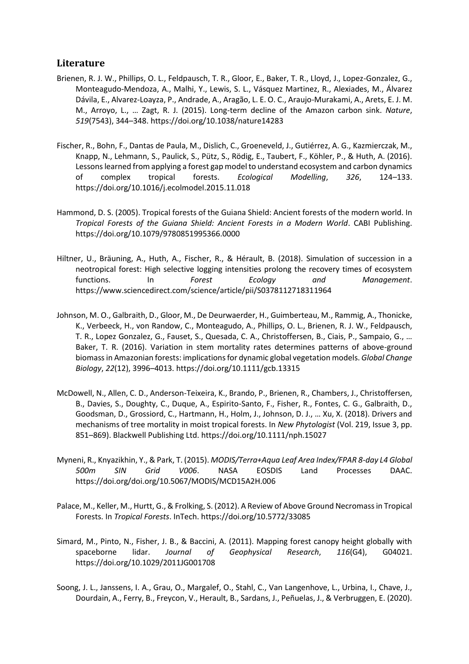# **Literature**

- Brienen, R. J. W., Phillips, O. L., Feldpausch, T. R., Gloor, E., Baker, T. R., Lloyd, J., Lopez-Gonzalez, G., Monteagudo-Mendoza, A., Malhi, Y., Lewis, S. L., Vásquez Martinez, R., Alexiades, M., Álvarez Dávila, E., Alvarez-Loayza, P., Andrade, A., Aragão, L. E. O. C., Araujo-Murakami, A., Arets, E. J. M. M., Arroyo, L., … Zagt, R. J. (2015). Long-term decline of the Amazon carbon sink. *Nature*, *519*(7543), 344–348. https://doi.org/10.1038/nature14283
- Fischer, R., Bohn, F., Dantas de Paula, M., Dislich, C., Groeneveld, J., Gutiérrez, A. G., Kazmierczak, M., Knapp, N., Lehmann, S., Paulick, S., Pütz, S., Rödig, E., Taubert, F., Köhler, P., & Huth, A. (2016). Lessons learned from applying a forest gap model to understand ecosystem and carbon dynamics of complex tropical forests. *Ecological Modelling*, *326*, 124–133. https://doi.org/10.1016/j.ecolmodel.2015.11.018
- Hammond, D. S. (2005). Tropical forests of the Guiana Shield: Ancient forests of the modern world. In *Tropical Forests of the Guiana Shield: Ancient Forests in a Modern World*. CABI Publishing. https://doi.org/10.1079/9780851995366.0000
- Hiltner, U., Bräuning, A., Huth, A., Fischer, R., & Hérault, B. (2018). Simulation of succession in a neotropical forest: High selective logging intensities prolong the recovery times of ecosystem functions. In *Forest Ecology and Management*. https://www.sciencedirect.com/science/article/pii/S0378112718311964
- Johnson, M. O., Galbraith, D., Gloor, M., De Deurwaerder, H., Guimberteau, M., Rammig, A., Thonicke, K., Verbeeck, H., von Randow, C., Monteagudo, A., Phillips, O. L., Brienen, R. J. W., Feldpausch, T. R., Lopez Gonzalez, G., Fauset, S., Quesada, C. A., Christoffersen, B., Ciais, P., Sampaio, G., … Baker, T. R. (2016). Variation in stem mortality rates determines patterns of above-ground biomass in Amazonian forests: implications for dynamic global vegetation models. *Global Change Biology*, *22*(12), 3996–4013. https://doi.org/10.1111/gcb.13315
- McDowell, N., Allen, C. D., Anderson-Teixeira, K., Brando, P., Brienen, R., Chambers, J., Christoffersen, B., Davies, S., Doughty, C., Duque, A., Espirito-Santo, F., Fisher, R., Fontes, C. G., Galbraith, D., Goodsman, D., Grossiord, C., Hartmann, H., Holm, J., Johnson, D. J., … Xu, X. (2018). Drivers and mechanisms of tree mortality in moist tropical forests. In *New Phytologist* (Vol. 219, Issue 3, pp. 851–869). Blackwell Publishing Ltd. https://doi.org/10.1111/nph.15027
- Myneni, R., Knyazikhin, Y., & Park, T. (2015). *MODIS/Terra+Aqua Leaf Area Index/FPAR 8-day L4 Global 500m SIN Grid V006*. NASA EOSDIS Land Processes DAAC. https://doi.org/doi.org/10.5067/MODIS/MCD15A2H.006
- Palace, M., Keller, M., Hurtt, G., & Frolking, S. (2012). A Review of Above Ground Necromass in Tropical Forests. In *Tropical Forests*. InTech. https://doi.org/10.5772/33085
- Simard, M., Pinto, N., Fisher, J. B., & Baccini, A. (2011). Mapping forest canopy height globally with spaceborne lidar. *Journal of Geophysical Research*, *116*(G4), G04021. https://doi.org/10.1029/2011JG001708
- Soong, J. L., Janssens, I. A., Grau, O., Margalef, O., Stahl, C., Van Langenhove, L., Urbina, I., Chave, J., Dourdain, A., Ferry, B., Freycon, V., Herault, B., Sardans, J., Peñuelas, J., & Verbruggen, E. (2020).